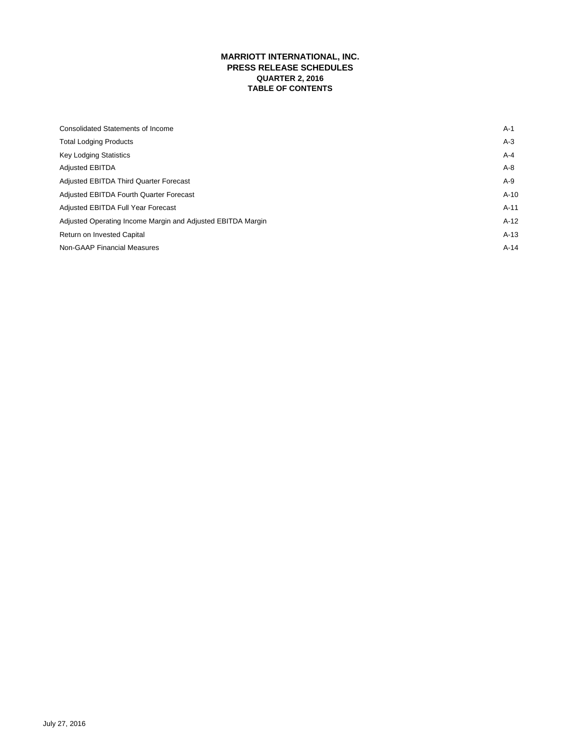# **MARRIOTT INTERNATIONAL, INC. PRESS RELEASE SCHEDULES QUARTER 2, 2016 TABLE OF CONTENTS**

| <b>Consolidated Statements of Income</b>                    | $A-1$   |
|-------------------------------------------------------------|---------|
| <b>Total Lodging Products</b>                               | $A-3$   |
| <b>Key Lodging Statistics</b>                               | $A - 4$ |
| <b>Adjusted EBITDA</b>                                      | $A-8$   |
| <b>Adjusted EBITDA Third Quarter Forecast</b>               | $A-9$   |
| Adjusted EBITDA Fourth Quarter Forecast                     | $A-10$  |
| Adjusted EBITDA Full Year Forecast                          | $A-11$  |
| Adjusted Operating Income Margin and Adjusted EBITDA Margin | $A-12$  |
| Return on Invested Capital                                  | $A-13$  |
| <b>Non-GAAP Financial Measures</b>                          | $A-14$  |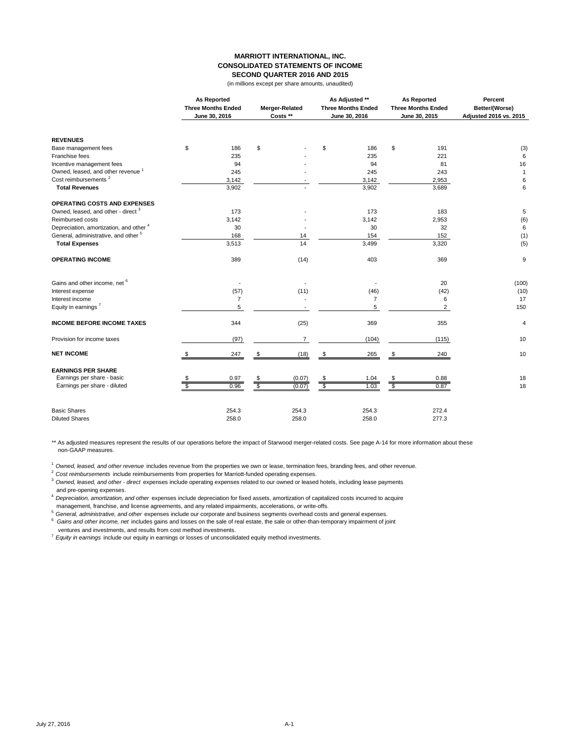#### **MARRIOTT INTERNATIONAL, INC. CONSOLIDATED STATEMENTS OF INCOME SECOND QUARTER 2016 AND 2015**

(in millions except per share amounts, unaudited)

|                                                 |                         | <b>As Reported</b><br><b>Three Months Ended</b><br>June 30, 2016 |                 | Merger-Related<br>Costs ** |                | As Adjusted **<br><b>Three Months Ended</b><br>June 30, 2016 |             | As Reported<br><b>Three Months Ended</b><br>June 30, 2015 | Percent<br>Better/(Worse)<br>Adjusted 2016 vs. 2015 |
|-------------------------------------------------|-------------------------|------------------------------------------------------------------|-----------------|----------------------------|----------------|--------------------------------------------------------------|-------------|-----------------------------------------------------------|-----------------------------------------------------|
| <b>REVENUES</b>                                 |                         |                                                                  |                 |                            |                |                                                              |             |                                                           |                                                     |
| Base management fees                            | \$                      | 186                                                              | \$              |                            | \$             | 186                                                          | \$          | 191                                                       | (3)                                                 |
| Franchise fees                                  |                         | 235                                                              |                 |                            |                | 235                                                          |             | 221                                                       | 6                                                   |
| Incentive management fees                       |                         | 94                                                               |                 |                            |                | 94                                                           |             | 81                                                        | 16                                                  |
| Owned, leased, and other revenue <sup>1</sup>   |                         | 245                                                              |                 |                            |                | 245                                                          |             | 243                                                       | $\mathbf{1}$                                        |
| Cost reimbursements <sup>2</sup>                |                         | 3,142                                                            |                 |                            |                | 3,142                                                        |             | 2,953                                                     | 6                                                   |
| <b>Total Revenues</b>                           |                         | 3,902                                                            |                 |                            |                | 3,902                                                        |             | 3,689                                                     | 6                                                   |
| OPERATING COSTS AND EXPENSES                    |                         |                                                                  |                 |                            |                |                                                              |             |                                                           |                                                     |
| Owned, leased, and other - direct <sup>3</sup>  |                         | 173                                                              |                 |                            |                | 173                                                          |             | 183                                                       | 5                                                   |
| Reimbursed costs                                |                         | 3,142                                                            |                 |                            |                | 3,142                                                        |             | 2,953                                                     | (6)                                                 |
| Depreciation, amortization, and other 4         |                         | 30                                                               |                 |                            |                | 30                                                           |             | 32                                                        | 6                                                   |
| General, administrative, and other <sup>5</sup> |                         | 168                                                              |                 | 14                         |                | 154                                                          |             | 152                                                       | (1)                                                 |
| <b>Total Expenses</b>                           |                         | 3,513                                                            |                 | 14                         |                | 3,499                                                        |             | 3,320                                                     | (5)                                                 |
| <b>OPERATING INCOME</b>                         |                         | 389                                                              |                 | (14)                       |                | 403                                                          |             | 369                                                       | 9                                                   |
| Gains and other income, net 6                   |                         |                                                                  |                 |                            |                |                                                              |             | 20                                                        | (100)                                               |
| Interest expense                                |                         | (57)                                                             |                 | (11)                       |                | (46)                                                         |             | (42)                                                      | (10)                                                |
| Interest income                                 |                         | $\overline{7}$                                                   |                 |                            |                | 7                                                            |             | 6                                                         | 17                                                  |
| Equity in earnings <sup>7</sup>                 |                         | 5                                                                |                 |                            |                | 5                                                            |             | $\overline{2}$                                            | 150                                                 |
| <b>INCOME BEFORE INCOME TAXES</b>               |                         | 344                                                              |                 | (25)                       |                | 369                                                          |             | 355                                                       | 4                                                   |
| Provision for income taxes                      |                         | (97)                                                             |                 | $\overline{7}$             |                | (104)                                                        |             | (115)                                                     | 10                                                  |
| <b>NET INCOME</b>                               |                         | 247                                                              | \$              | (18)                       | \$             | 265                                                          | \$          | 240                                                       | 10                                                  |
| <b>EARNINGS PER SHARE</b>                       |                         |                                                                  |                 |                            |                |                                                              |             |                                                           |                                                     |
| Earnings per share - basic                      |                         | 0.97                                                             | $\frac{\$}{\$}$ | (0.07)                     | \$             | 1.04                                                         |             | 0.88                                                      | 18                                                  |
| Earnings per share - diluted                    | $\overline{\mathbb{S}}$ | 0.96                                                             |                 | (0.07)                     | $\overline{s}$ | 1.03                                                         | $rac{1}{s}$ | 0.87                                                      | 18                                                  |
| <b>Basic Shares</b>                             |                         | 254.3                                                            |                 | 254.3                      |                | 254.3                                                        |             | 272.4                                                     |                                                     |
| <b>Diluted Shares</b>                           |                         | 258.0                                                            |                 | 258.0                      |                | 258.0                                                        |             | 277.3                                                     |                                                     |

\*\* As adjusted measures represent the results of our operations before the impact of Starwood merger-related costs. See page A-14 for more information about these non-GAAP measures.

<sup>1</sup>*Owned, leased, and other revenue* includes revenue from the properties we own or lease, termination fees, branding fees, and other revenue.

<sup>2</sup>*Cost reimbursements* include reimbursements from properties for Marriott-funded operating expenses.

<sup>3</sup>*Owned, leased, and other - direct* expenses include operating expenses related to our owned or leased hotels, including lease payments and pre-opening expenses.

<sup>4</sup>*Depreciation, amortization, and other* expenses include depreciation for fixed assets, amortization of capitalized costs incurred to acquire management, franchise, and license agreements, and any related impairments, accelerations, or write-offs.

<sup>5</sup>*General, administrative, and other* expenses include our corporate and business segments overhead costs and general expenses. 6 *Gains and other income, net* includes gains and losses on the sale of real estate, the sale or other-than-temporary impairment of joint

ventures and investments, and results from cost method investments.

<sup>7</sup>*Equity in earnings* include our equity in earnings or losses of unconsolidated equity method investments.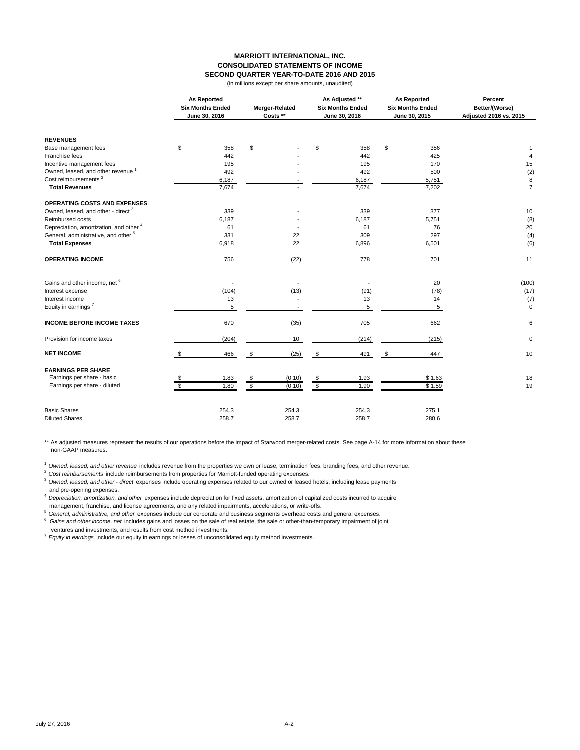#### **MARRIOTT INTERNATIONAL, INC. CONSOLIDATED STATEMENTS OF INCOME SECOND QUARTER YEAR-TO-DATE 2016 AND 2015**

(in millions except per share amounts, unaudited)

|                                                |             | <b>As Reported</b><br><b>Six Months Ended</b><br>June 30, 2016 |               | Merger-Related<br>Costs ** |                 | As Adjusted **<br><b>Six Months Ended</b><br>June 30, 2016 | <b>As Reported</b><br><b>Six Months Ended</b><br>June 30, 2015 | Percent<br>Better/(Worse)<br>Adjusted 2016 vs. 2015 |
|------------------------------------------------|-------------|----------------------------------------------------------------|---------------|----------------------------|-----------------|------------------------------------------------------------|----------------------------------------------------------------|-----------------------------------------------------|
| <b>REVENUES</b>                                |             |                                                                |               |                            |                 |                                                            |                                                                |                                                     |
| Base management fees                           | \$          | 358                                                            | \$            |                            | \$              | 358                                                        | \$<br>356                                                      | 1                                                   |
| Franchise fees                                 |             | 442                                                            |               |                            |                 | 442                                                        | 425                                                            | $\overline{4}$                                      |
| Incentive management fees                      |             | 195                                                            |               |                            |                 | 195                                                        | 170                                                            | 15                                                  |
| Owned, leased, and other revenue <sup>1</sup>  |             | 492                                                            |               |                            |                 | 492                                                        | 500                                                            | (2)                                                 |
| Cost reimbursements <sup>2</sup>               |             | 6,187                                                          |               |                            |                 | 6,187                                                      | 5,751                                                          | 8                                                   |
| <b>Total Revenues</b>                          |             | 7,674                                                          |               |                            |                 | 7,674                                                      | 7,202                                                          | $\overline{7}$                                      |
| <b>OPERATING COSTS AND EXPENSES</b>            |             |                                                                |               |                            |                 |                                                            |                                                                |                                                     |
| Owned, leased, and other - direct <sup>3</sup> |             | 339                                                            |               |                            |                 | 339                                                        | 377                                                            | 10                                                  |
| Reimbursed costs                               |             | 6,187                                                          |               |                            |                 | 6,187                                                      | 5,751                                                          | (8)                                                 |
| Depreciation, amortization, and other 4        |             | 61                                                             |               |                            |                 | 61                                                         | 76                                                             | 20                                                  |
| General, administrative, and other 5           |             | 331                                                            |               | 22                         |                 | 309                                                        | 297                                                            | (4)                                                 |
| <b>Total Expenses</b>                          |             | 6,918                                                          |               | 22                         |                 | 6,896                                                      | 6,501                                                          | (6)                                                 |
| <b>OPERATING INCOME</b>                        |             | 756                                                            |               | (22)                       |                 | 778                                                        | 701                                                            | 11                                                  |
| Gains and other income, net 6                  |             |                                                                |               |                            |                 |                                                            | 20                                                             | (100)                                               |
| Interest expense                               |             | (104)                                                          |               | (13)                       |                 | (91)                                                       | (78)                                                           | (17)                                                |
| Interest income                                |             | 13                                                             |               |                            |                 | 13                                                         | 14                                                             | (7)                                                 |
| Equity in earnings <sup>7</sup>                |             | 5                                                              |               |                            |                 | 5                                                          | 5                                                              | $\mathbf 0$                                         |
| <b>INCOME BEFORE INCOME TAXES</b>              |             | 670                                                            |               | (35)                       |                 | 705                                                        | 662                                                            | 6                                                   |
| Provision for income taxes                     |             | (204)                                                          |               | 10                         |                 | (214)                                                      | (215)                                                          | 0                                                   |
| <b>NET INCOME</b>                              | \$          | 466                                                            | \$            | (25)                       | \$              | 491                                                        | \$<br>447                                                      | 10                                                  |
| <b>EARNINGS PER SHARE</b>                      |             |                                                                |               |                            |                 |                                                            |                                                                |                                                     |
| Earnings per share - basic                     |             | 1.83                                                           |               | (0.10)                     |                 | 1.93                                                       | \$1.63                                                         | 18                                                  |
| Earnings per share - diluted                   | $rac{1}{s}$ | 1.80                                                           | $\frac{6}{9}$ | (0.10)                     | $\frac{\$}{\$}$ | 1.90                                                       | \$1.59                                                         | 19                                                  |
| <b>Basic Shares</b>                            |             | 254.3                                                          |               | 254.3                      |                 | 254.3                                                      | 275.1                                                          |                                                     |
| <b>Diluted Shares</b>                          |             | 258.7                                                          |               | 258.7                      |                 | 258.7                                                      | 280.6                                                          |                                                     |

\*\* As adjusted measures represent the results of our operations before the impact of Starwood merger-related costs. See page A-14 for more information about these non-GAAP measures.

<sup>1</sup> Owned, leased, and other revenue includes revenue from the properties we own or lease, termination fees, branding fees, and other revenue.

<sup>2</sup>*Cost reimbursements* include reimbursements from properties for Marriott-funded operating expenses.

<sup>3</sup>*Owned, leased, and other - direct* expenses include operating expenses related to our owned or leased hotels, including lease payments and pre-opening expenses.

<sup>4</sup>*Depreciation, amortization, and other* expenses include depreciation for fixed assets, amortization of capitalized costs incurred to acquire management, franchise, and license agreements, and any related impairments, accelerations, or write-offs.

<sup>5</sup>*General, administrative, and other* expenses include our corporate and business segments overhead costs and general expenses. 6 *Gains and other income, net* includes gains and losses on the sale of real estate, the sale or other-than-temporary impairment of joint ventures and investments, and results from cost method investments.

<sup>7</sup>*Equity in earnings* include our equity in earnings or losses of unconsolidated equity method investments.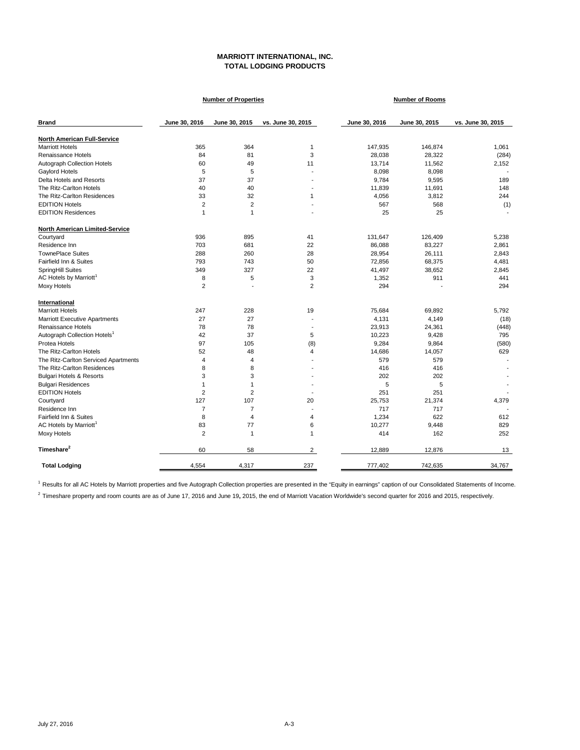## **MARRIOTT INTERNATIONAL, INC. TOTAL LODGING PRODUCTS**

|                                          |                | <b>Number of Properties</b> |                          |               | <b>Number of Rooms</b> |                   |
|------------------------------------------|----------------|-----------------------------|--------------------------|---------------|------------------------|-------------------|
| <b>Brand</b>                             | June 30, 2016  | June 30, 2015               | vs. June 30, 2015        | June 30, 2016 | June 30, 2015          | vs. June 30, 2015 |
| <b>North American Full-Service</b>       |                |                             |                          |               |                        |                   |
| <b>Marriott Hotels</b>                   | 365            | 364                         | 1                        | 147,935       | 146,874                | 1,061             |
| Renaissance Hotels                       | 84             | 81                          | 3                        | 28,038        | 28,322                 | (284)             |
| <b>Autograph Collection Hotels</b>       | 60             | 49                          | 11                       | 13,714        | 11,562                 | 2,152             |
| Gaylord Hotels                           | 5              | 5                           | ÷.                       | 8,098         | 8,098                  |                   |
| Delta Hotels and Resorts                 | 37             | 37                          |                          | 9,784         | 9,595                  | 189               |
| The Ritz-Carlton Hotels                  | 40             | 40                          | ٠                        | 11,839        | 11,691                 | 148               |
| The Ritz-Carlton Residences              | 33             | 32                          | 1                        | 4,056         | 3,812                  | 244               |
| <b>EDITION Hotels</b>                    | $\overline{2}$ | $\overline{2}$              | ÷.                       | 567           | 568                    | (1)               |
| <b>EDITION Residences</b>                | 1              | 1                           | ٠                        | 25            | 25                     |                   |
| North American Limited-Service           |                |                             |                          |               |                        |                   |
| Courtyard                                | 936            | 895                         | 41                       | 131,647       | 126,409                | 5,238             |
| Residence Inn                            | 703            | 681                         | 22                       | 86,088        | 83,227                 | 2,861             |
| <b>TownePlace Suites</b>                 | 288            | 260                         | 28                       | 28,954        | 26,111                 | 2,843             |
| Fairfield Inn & Suites                   | 793            | 743                         | 50                       | 72,856        | 68,375                 | 4,481             |
| SpringHill Suites                        | 349            | 327                         | 22                       | 41,497        | 38,652                 | 2,845             |
| AC Hotels by Marriott <sup>1</sup>       | 8              | 5                           | 3                        | 1,352         | 911                    | 441               |
| Moxy Hotels                              | 2              |                             | $\overline{2}$           | 294           |                        | 294               |
| International                            |                |                             |                          |               |                        |                   |
| <b>Marriott Hotels</b>                   | 247            | 228                         | 19                       | 75,684        | 69,892                 | 5.792             |
| <b>Marriott Executive Apartments</b>     | 27             | 27                          |                          | 4,131         | 4,149                  | (18)              |
| Renaissance Hotels                       | 78             | 78                          | ٠                        | 23,913        | 24,361                 | (448)             |
| Autograph Collection Hotels <sup>1</sup> | 42             | 37                          | 5                        | 10,223        | 9,428                  | 795               |
| Protea Hotels                            | 97             | 105                         | (8)                      | 9,284         | 9,864                  | (580)             |
| The Ritz-Carlton Hotels                  | 52             | 48                          | 4                        | 14,686        | 14,057                 | 629               |
| The Ritz-Carlton Serviced Apartments     | 4              | $\overline{4}$              |                          | 579           | 579                    |                   |
| The Ritz-Carlton Residences              | 8              | 8                           |                          | 416           | 416                    |                   |
| <b>Bulgari Hotels &amp; Resorts</b>      | 3              | 3                           |                          | 202           | 202                    |                   |
| <b>Bulgari Residences</b>                | 1              | $\mathbf{1}$                | $\overline{\phantom{a}}$ | 5             | 5                      |                   |
| <b>EDITION Hotels</b>                    | $\overline{2}$ | $\overline{2}$              |                          | 251           | 251                    |                   |
| Courtyard                                | 127            | 107                         | 20                       | 25,753        | 21,374                 | 4,379             |
| Residence Inn                            | $\overline{7}$ | $\overline{7}$              |                          | 717           | 717                    |                   |
| Fairfield Inn & Suites                   | 8              | $\overline{4}$              | 4                        | 1,234         | 622                    | 612               |
| AC Hotels by Marriott <sup>1</sup>       | 83             | 77                          | 6                        | 10,277        | 9,448                  | 829               |
| Moxy Hotels                              | $\overline{2}$ | $\mathbf{1}$                | 1                        | 414           | 162                    | 252               |
| Timeshare <sup>2</sup>                   | 60             | 58                          | $\overline{2}$           | 12,889        | 12,876                 | 13                |
| <b>Total Lodging</b>                     | 4,554          | 4,317                       | 237                      | 777,402       | 742,635                | 34,767            |

<sup>1</sup> Results for all AC Hotels by Marriott properties and five Autograph Collection properties are presented in the "Equity in earnings" caption of our Consolidated Statements of Income.

<sup>2</sup> Timeshare property and room counts are as of June 17, 2016 and June 19, 2015, the end of Marriott Vacation Worldwide's second quarter for 2016 and 2015, respectively.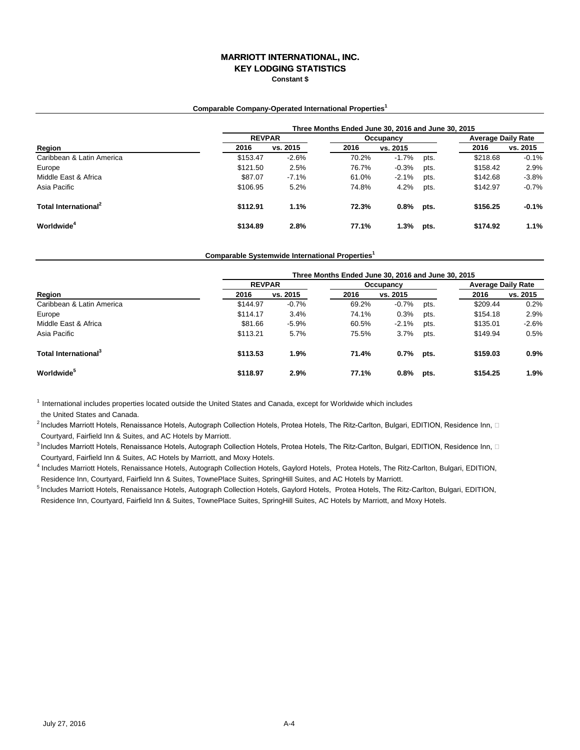# **MARRIOTT INTERNATIONAL, INC.**

**KEY LODGING STATISTICS**

**Constant \$**

#### **Comparable Company-Operated International Properties<sup>1</sup>**

|                                  | Three Months Ended June 30, 2016 and June 30, 2015 |               |       |          |      |                           |          |  |  |  |
|----------------------------------|----------------------------------------------------|---------------|-------|----------|------|---------------------------|----------|--|--|--|
|                                  |                                                    | <b>REVPAR</b> |       |          |      | <b>Average Daily Rate</b> |          |  |  |  |
| Region                           | 2016                                               | vs. 2015      | 2016  | vs. 2015 |      | 2016                      | vs. 2015 |  |  |  |
| Caribbean & Latin America        | \$153.47                                           | $-2.6%$       | 70.2% | $-1.7%$  | pts. | \$218.68                  | $-0.1%$  |  |  |  |
| Europe                           | \$121.50                                           | 2.5%          | 76.7% | $-0.3%$  | pts. | \$158.42                  | 2.9%     |  |  |  |
| Middle East & Africa             | \$87.07                                            | $-7.1%$       | 61.0% | $-2.1%$  | pts. | \$142.68                  | $-3.8%$  |  |  |  |
| Asia Pacific                     | \$106.95                                           | 5.2%          | 74.8% | 4.2%     | pts. | \$142.97                  | $-0.7%$  |  |  |  |
| Total International <sup>2</sup> | \$112.91                                           | 1.1%          | 72.3% | 0.8%     | pts. | \$156.25                  | $-0.1%$  |  |  |  |
| Worldwide <sup>4</sup>           | \$134.89                                           | 2.8%          | 77.1% | 1.3%     | pts. | \$174.92                  | 1.1%     |  |  |  |

#### **Comparable Systemwide International Properties<sup>1</sup>**

|                                  | Three Months Ended June 30, 2016 and June 30, 2015 |          |       |           |      |                           |          |  |  |  |
|----------------------------------|----------------------------------------------------|----------|-------|-----------|------|---------------------------|----------|--|--|--|
|                                  | <b>REVPAR</b>                                      |          |       | Occupancy |      | <b>Average Daily Rate</b> |          |  |  |  |
| Region                           | 2016                                               | vs. 2015 | 2016  | vs. 2015  |      | 2016                      | vs. 2015 |  |  |  |
| Caribbean & Latin America        | \$144.97                                           | $-0.7%$  | 69.2% | $-0.7%$   | pts. | \$209.44                  | 0.2%     |  |  |  |
| Europe                           | \$114.17                                           | 3.4%     | 74.1% | 0.3%      | pts. | \$154.18                  | 2.9%     |  |  |  |
| Middle East & Africa             | \$81.66                                            | $-5.9%$  | 60.5% | $-2.1%$   | pts. | \$135.01                  | $-2.6%$  |  |  |  |
| Asia Pacific                     | \$113.21                                           | 5.7%     | 75.5% | 3.7%      | pts. | \$149.94                  | 0.5%     |  |  |  |
| Total International <sup>3</sup> | \$113.53                                           | 1.9%     | 71.4% | 0.7%      | pts. | \$159.03                  | 0.9%     |  |  |  |
| <b>Worldwide</b> <sup>5</sup>    | \$118.97                                           | 2.9%     | 77.1% | 0.8%      | pts. | \$154.25                  | 1.9%     |  |  |  |

 $1$  International includes properties located outside the United States and Canada, except for Worldwide which includes

the United States and Canada.

 $^2$ Includes Marriott Hotels, Renaissance Hotels, Autograph Collection Hotels, Protea Hotels, The Ritz-Carlton, Bulgari, EDITION, Residence Inn,  $\Box$ Courtyard, Fairfield Inn & Suites, and AC Hotels by Marriott.

 $^3$ Includes Marriott Hotels, Renaissance Hotels, Autograph Collection Hotels, Protea Hotels, The Ritz-Carlton, Bulgari, EDITION, Residence Inn,  $\Box$ Courtyard, Fairfield Inn & Suites, AC Hotels by Marriott, and Moxy Hotels.

4 Includes Marriott Hotels, Renaissance Hotels, Autograph Collection Hotels, Gaylord Hotels, Protea Hotels, The Ritz-Carlton, Bulgari, EDITION, Residence Inn, Courtyard, Fairfield Inn & Suites, TownePlace Suites, SpringHill Suites, and AC Hotels by Marriott.

<sup>5</sup> Includes Marriott Hotels, Renaissance Hotels, Autograph Collection Hotels, Gaylord Hotels, Protea Hotels, The Ritz-Carlton, Bulgari, EDITION, Residence Inn, Courtyard, Fairfield Inn & Suites, TownePlace Suites, SpringHill Suites, AC Hotels by Marriott, and Moxy Hotels.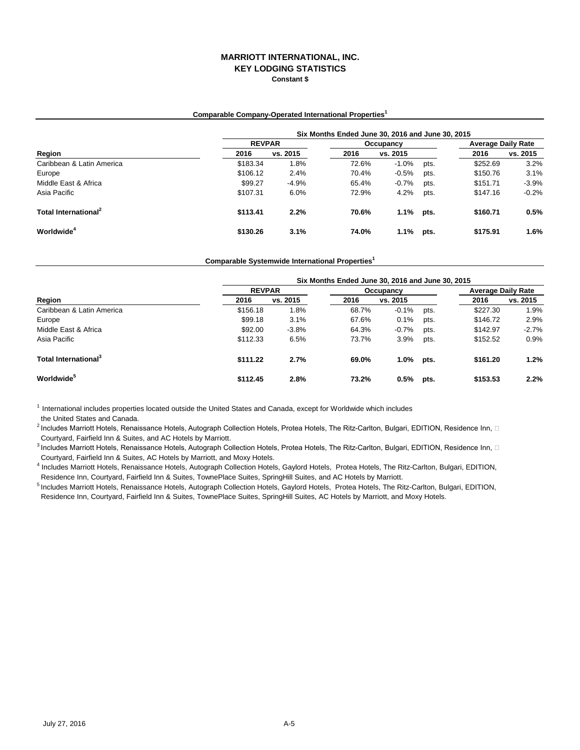## **MARRIOTT INTERNATIONAL, INC. KEY LODGING STATISTICS Constant \$**

#### **Comparable Company-Operated International Properties<sup>1</sup>**

|                                  | Six Months Ended June 30, 2016 and June 30, 2015 |          |       |           |      |          |                           |  |  |  |  |
|----------------------------------|--------------------------------------------------|----------|-------|-----------|------|----------|---------------------------|--|--|--|--|
|                                  | <b>REVPAR</b>                                    |          |       | Occupancy |      |          | <b>Average Daily Rate</b> |  |  |  |  |
| Region                           | 2016                                             | vs. 2015 | 2016  | vs. 2015  |      | 2016     | vs. 2015                  |  |  |  |  |
| Caribbean & Latin America        | \$183.34                                         | 1.8%     | 72.6% | $-1.0%$   | pts. | \$252.69 | 3.2%                      |  |  |  |  |
| Europe                           | \$106.12                                         | 2.4%     | 70.4% | $-0.5%$   | pts. | \$150.76 | 3.1%                      |  |  |  |  |
| Middle East & Africa             | \$99.27                                          | $-4.9%$  | 65.4% | $-0.7%$   | pts. | \$151.71 | $-3.9%$                   |  |  |  |  |
| Asia Pacific                     | \$107.31                                         | 6.0%     | 72.9% | 4.2%      | pts. | \$147.16 | $-0.2%$                   |  |  |  |  |
| Total International <sup>2</sup> | \$113.41                                         | 2.2%     | 70.6% | 1.1%      | pts. | \$160.71 | 0.5%                      |  |  |  |  |
| Worldwide <sup>4</sup>           | \$130.26                                         | 3.1%     | 74.0% | 1.1%      | pts. | \$175.91 | 1.6%                      |  |  |  |  |

**Comparable Systemwide International Properties<sup>1</sup>**

|                                  | Six Months Ended June 30, 2016 and June 30, 2015 |          |           |          |                           |          |          |  |  |  |
|----------------------------------|--------------------------------------------------|----------|-----------|----------|---------------------------|----------|----------|--|--|--|
| Region                           | <b>REVPAR</b>                                    |          | Occupancy |          | <b>Average Daily Rate</b> |          |          |  |  |  |
|                                  | 2016                                             | vs. 2015 | 2016      | vs. 2015 |                           | 2016     | vs. 2015 |  |  |  |
| Caribbean & Latin America        | \$156.18                                         | 1.8%     | 68.7%     | $-0.1%$  | pts.                      | \$227.30 | 1.9%     |  |  |  |
| Europe                           | \$99.18                                          | 3.1%     | 67.6%     | 0.1%     | pts.                      | \$146.72 | 2.9%     |  |  |  |
| Middle East & Africa             | \$92.00                                          | $-3.8%$  | 64.3%     | $-0.7%$  | pts.                      | \$142.97 | $-2.7%$  |  |  |  |
| Asia Pacific                     | \$112.33                                         | 6.5%     | 73.7%     | 3.9%     | pts.                      | \$152.52 | 0.9%     |  |  |  |
| Total International <sup>3</sup> | \$111.22                                         | 2.7%     | 69.0%     | 1.0%     | pts.                      | \$161.20 | 1.2%     |  |  |  |
| <b>Worldwide</b> <sup>5</sup>    | \$112.45                                         | 2.8%     | 73.2%     | 0.5%     | pts.                      | \$153.53 | 2.2%     |  |  |  |

 $<sup>1</sup>$  International includes properties located outside the United States and Canada, except for Worldwide which includes</sup> the United States and Canada.

 $^2$ Includes Marriott Hotels, Renaissance Hotels, Autograph Collection Hotels, Protea Hotels, The Ritz-Carlton, Bulgari, EDITION, Residence Inn,  $\Box$ Courtyard, Fairfield Inn & Suites, and AC Hotels by Marriott.

 $^3$ Includes Marriott Hotels, Renaissance Hotels, Autograph Collection Hotels, Protea Hotels, The Ritz-Carlton, Bulgari, EDITION, Residence Inn,  $\Box$ Courtyard, Fairfield Inn & Suites, AC Hotels by Marriott, and Moxy Hotels.

4 Includes Marriott Hotels, Renaissance Hotels, Autograph Collection Hotels, Gaylord Hotels, Protea Hotels, The Ritz-Carlton, Bulgari, EDITION, Residence Inn, Courtyard, Fairfield Inn & Suites, TownePlace Suites, SpringHill Suites, and AC Hotels by Marriott.

5 Includes Marriott Hotels, Renaissance Hotels, Autograph Collection Hotels, Gaylord Hotels, Protea Hotels, The Ritz-Carlton, Bulgari, EDITION, Residence Inn, Courtyard, Fairfield Inn & Suites, TownePlace Suites, SpringHill Suites, AC Hotels by Marriott, and Moxy Hotels.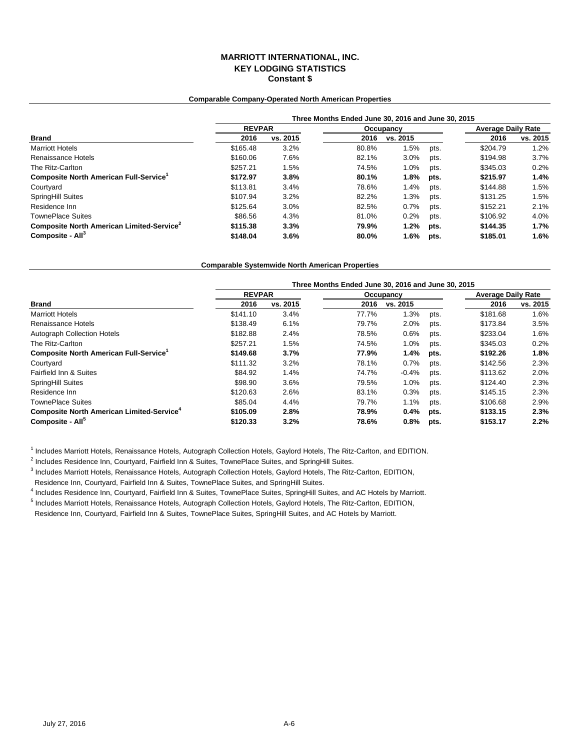## **MARRIOTT INTERNATIONAL, INC. KEY LODGING STATISTICS Constant \$**

#### **Comparable Company-Operated North American Properties**

|                                                       | Three Months Ended June 30, 2016 and June 30, 2015 |          |       |           |                           |          |          |  |  |  |
|-------------------------------------------------------|----------------------------------------------------|----------|-------|-----------|---------------------------|----------|----------|--|--|--|
|                                                       | <b>REVPAR</b>                                      |          |       | Occupancy | <b>Average Daily Rate</b> |          |          |  |  |  |
| <b>Brand</b>                                          | 2016                                               | vs. 2015 | 2016  | vs. 2015  |                           | 2016     | vs. 2015 |  |  |  |
| <b>Marriott Hotels</b>                                | \$165.48                                           | 3.2%     | 80.8% | 1.5%      | pts.                      | \$204.79 | $1.2\%$  |  |  |  |
| Renaissance Hotels                                    | \$160.06                                           | 7.6%     | 82.1% | 3.0%      | pts.                      | \$194.98 | 3.7%     |  |  |  |
| The Ritz-Carlton                                      | \$257.21                                           | 1.5%     | 74.5% | 1.0%      | pts.                      | \$345.03 | 0.2%     |  |  |  |
| Composite North American Full-Service <sup>1</sup>    | \$172.97                                           | 3.8%     | 80.1% | 1.8%      | pts.                      | \$215.97 | 1.4%     |  |  |  |
| Courtyard                                             | \$113.81                                           | 3.4%     | 78.6% | 1.4%      | pts.                      | \$144.88 | 1.5%     |  |  |  |
| SpringHill Suites                                     | \$107.94                                           | 3.2%     | 82.2% | $1.3\%$   | pts.                      | \$131.25 | 1.5%     |  |  |  |
| Residence Inn                                         | \$125.64                                           | 3.0%     | 82.5% | 0.7%      | pts.                      | \$152.21 | 2.1%     |  |  |  |
| <b>TownePlace Suites</b>                              | \$86.56                                            | 4.3%     | 81.0% | 0.2%      | pts.                      | \$106.92 | 4.0%     |  |  |  |
| Composite North American Limited-Service <sup>2</sup> | \$115.38                                           | 3.3%     | 79.9% | 1.2%      | pts.                      | \$144.35 | 1.7%     |  |  |  |
| Composite - All <sup>3</sup>                          | \$148.04                                           | 3.6%     | 80.0% | 1.6%      | pts.                      | \$185.01 | 1.6%     |  |  |  |

#### **Comparable Systemwide North American Properties**

|                                                             | Three Months Ended June 30, 2016 and June 30, 2015 |          |       |           |      |                           |          |  |  |  |
|-------------------------------------------------------------|----------------------------------------------------|----------|-------|-----------|------|---------------------------|----------|--|--|--|
|                                                             | <b>REVPAR</b>                                      |          |       | Occupancy |      | <b>Average Daily Rate</b> |          |  |  |  |
| <b>Brand</b>                                                | 2016                                               | vs. 2015 | 2016  | vs. 2015  |      | 2016                      | vs. 2015 |  |  |  |
| <b>Marriott Hotels</b>                                      | \$141.10                                           | 3.4%     | 77.7% | 1.3%      | pts. | \$181.68                  | 1.6%     |  |  |  |
| Renaissance Hotels                                          | \$138.49                                           | 6.1%     | 79.7% | 2.0%      | pts. | \$173.84                  | 3.5%     |  |  |  |
| <b>Autograph Collection Hotels</b>                          | \$182.88                                           | 2.4%     | 78.5% | 0.6%      | pts. | \$233.04                  | 1.6%     |  |  |  |
| The Ritz-Carlton                                            | \$257.21                                           | 1.5%     | 74.5% | 1.0%      | pts. | \$345.03                  | 0.2%     |  |  |  |
| Composite North American Full-Service <sup>1</sup>          | \$149.68                                           | 3.7%     | 77.9% | 1.4%      | pts. | \$192.26                  | 1.8%     |  |  |  |
| Courtyard                                                   | \$111.32                                           | 3.2%     | 78.1% | 0.7%      | pts. | \$142.56                  | 2.3%     |  |  |  |
| Fairfield Inn & Suites                                      | \$84.92                                            | 1.4%     | 74.7% | $-0.4%$   | pts. | \$113.62                  | 2.0%     |  |  |  |
| SpringHill Suites                                           | \$98.90                                            | 3.6%     | 79.5% | 1.0%      | pts. | \$124.40                  | 2.3%     |  |  |  |
| Residence Inn                                               | \$120.63                                           | 2.6%     | 83.1% | 0.3%      | pts. | \$145.15                  | 2.3%     |  |  |  |
| <b>TownePlace Suites</b>                                    | \$85.04                                            | 4.4%     | 79.7% | 1.1%      | pts. | \$106.68                  | 2.9%     |  |  |  |
| <b>Composite North American Limited-Service<sup>4</sup></b> | \$105.09                                           | 2.8%     | 78.9% | 0.4%      | pts. | \$133.15                  | 2.3%     |  |  |  |
| Composite - All <sup>5</sup>                                | \$120.33                                           | 3.2%     | 78.6% | 0.8%      | pts. | \$153.17                  | 2.2%     |  |  |  |

<sup>1</sup> Includes Marriott Hotels, Renaissance Hotels, Autograph Collection Hotels, Gaylord Hotels, The Ritz-Carlton, and EDITION.

<sup>2</sup> Includes Residence Inn, Courtyard, Fairfield Inn & Suites, TownePlace Suites, and SpringHill Suites.

3 Includes Marriott Hotels, Renaissance Hotels, Autograph Collection Hotels, Gaylord Hotels, The Ritz-Carlton, EDITION,

Residence Inn, Courtyard, Fairfield Inn & Suites, TownePlace Suites, and SpringHill Suites.

4 Includes Residence Inn, Courtyard, Fairfield Inn & Suites, TownePlace Suites, SpringHill Suites, and AC Hotels by Marriott.

<sup>5</sup> Includes Marriott Hotels, Renaissance Hotels, Autograph Collection Hotels, Gaylord Hotels, The Ritz-Carlton, EDITION, Residence Inn, Courtyard, Fairfield Inn & Suites, TownePlace Suites, SpringHill Suites, and AC Hotels by Marriott.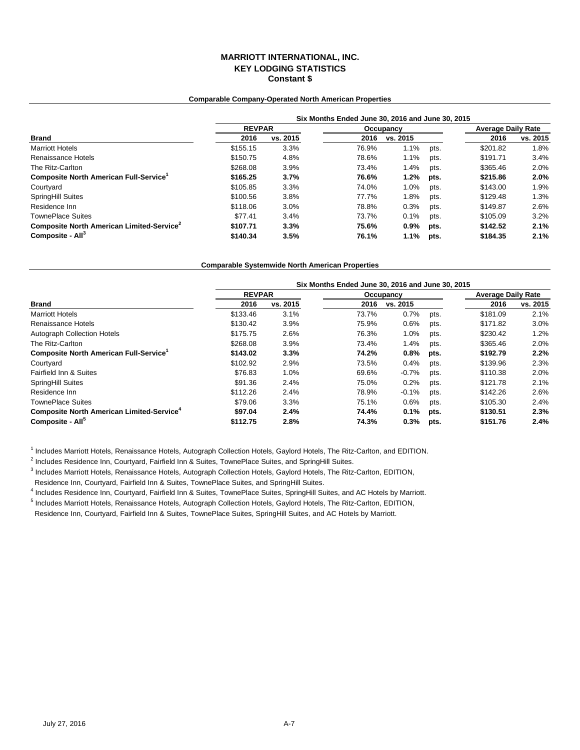## **MARRIOTT INTERNATIONAL, INC. KEY LODGING STATISTICS Constant \$**

#### **Comparable Company-Operated North American Properties**

|                                                       | Six Months Ended June 30, 2016 and June 30, 2015 |          |       |           |                           |          |          |  |  |  |
|-------------------------------------------------------|--------------------------------------------------|----------|-------|-----------|---------------------------|----------|----------|--|--|--|
|                                                       | <b>REVPAR</b>                                    |          |       | Occupancy | <b>Average Daily Rate</b> |          |          |  |  |  |
| <b>Brand</b>                                          | 2016                                             | vs. 2015 | 2016  | vs. 2015  |                           | 2016     | vs. 2015 |  |  |  |
| <b>Marriott Hotels</b>                                | \$155.15                                         | 3.3%     | 76.9% | 1.1%      | pts.                      | \$201.82 | 1.8%     |  |  |  |
| Renaissance Hotels                                    | \$150.75                                         | 4.8%     | 78.6% | 1.1%      | pts.                      | \$191.71 | 3.4%     |  |  |  |
| The Ritz-Carlton                                      | \$268.08                                         | 3.9%     | 73.4% | 1.4%      | pts.                      | \$365.46 | 2.0%     |  |  |  |
| Composite North American Full-Service <sup>1</sup>    | \$165.25                                         | 3.7%     | 76.6% | $1.2\%$   | pts.                      | \$215.86 | 2.0%     |  |  |  |
| Courtyard                                             | \$105.85                                         | 3.3%     | 74.0% | 1.0%      | pts.                      | \$143.00 | 1.9%     |  |  |  |
| <b>SpringHill Suites</b>                              | \$100.56                                         | 3.8%     | 77.7% | 1.8%      | pts.                      | \$129.48 | 1.3%     |  |  |  |
| Residence Inn                                         | \$118.06                                         | 3.0%     | 78.8% | 0.3%      | pts.                      | \$149.87 | 2.6%     |  |  |  |
| <b>TownePlace Suites</b>                              | \$77.41                                          | 3.4%     | 73.7% | 0.1%      | pts.                      | \$105.09 | 3.2%     |  |  |  |
| Composite North American Limited-Service <sup>2</sup> | \$107.71                                         | 3.3%     | 75.6% | $0.9\%$   | pts.                      | \$142.52 | 2.1%     |  |  |  |
| Composite - All <sup>3</sup>                          | \$140.34                                         | 3.5%     | 76.1% | $1.1\%$   | pts.                      | \$184.35 | 2.1%     |  |  |  |

#### **Comparable Systemwide North American Properties**

|                                                             | Six Months Ended June 30, 2016 and June 30, 2015 |          |       |           |      |                           |          |  |  |  |
|-------------------------------------------------------------|--------------------------------------------------|----------|-------|-----------|------|---------------------------|----------|--|--|--|
|                                                             | <b>REVPAR</b>                                    |          |       | Occupancy |      | <b>Average Daily Rate</b> |          |  |  |  |
| Brand                                                       | 2016                                             | vs. 2015 | 2016  | vs. 2015  |      | 2016                      | vs. 2015 |  |  |  |
| <b>Marriott Hotels</b>                                      | \$133.46                                         | 3.1%     | 73.7% | 0.7%      | pts. | \$181.09                  | 2.1%     |  |  |  |
| Renaissance Hotels                                          | \$130.42                                         | 3.9%     | 75.9% | 0.6%      | pts. | \$171.82                  | 3.0%     |  |  |  |
| <b>Autograph Collection Hotels</b>                          | \$175.75                                         | 2.6%     | 76.3% | 1.0%      | pts. | \$230.42                  | 1.2%     |  |  |  |
| The Ritz-Carlton                                            | \$268.08                                         | 3.9%     | 73.4% | 1.4%      | pts. | \$365.46                  | 2.0%     |  |  |  |
| Composite North American Full-Service <sup>1</sup>          | \$143.02                                         | 3.3%     | 74.2% | 0.8%      | pts. | \$192.79                  | 2.2%     |  |  |  |
| Courtyard                                                   | \$102.92                                         | 2.9%     | 73.5% | 0.4%      | pts. | \$139.96                  | 2.3%     |  |  |  |
| Fairfield Inn & Suites                                      | \$76.83                                          | 1.0%     | 69.6% | $-0.7%$   | pts. | \$110.38                  | 2.0%     |  |  |  |
| SpringHill Suites                                           | \$91.36                                          | 2.4%     | 75.0% | 0.2%      | pts. | \$121.78                  | 2.1%     |  |  |  |
| Residence Inn                                               | \$112.26                                         | 2.4%     | 78.9% | $-0.1%$   | pts. | \$142.26                  | 2.6%     |  |  |  |
| <b>TownePlace Suites</b>                                    | \$79.06                                          | 3.3%     | 75.1% | 0.6%      | pts. | \$105.30                  | 2.4%     |  |  |  |
| <b>Composite North American Limited-Service<sup>4</sup></b> | \$97.04                                          | 2.4%     | 74.4% | 0.1%      | pts. | \$130.51                  | 2.3%     |  |  |  |
| Composite - All <sup>5</sup>                                | \$112.75                                         | 2.8%     | 74.3% | 0.3%      | pts. | \$151.76                  | 2.4%     |  |  |  |

<sup>1</sup> Includes Marriott Hotels, Renaissance Hotels, Autograph Collection Hotels, Gaylord Hotels, The Ritz-Carlton, and EDITION.

<sup>2</sup> Includes Residence Inn, Courtyard, Fairfield Inn & Suites, TownePlace Suites, and SpringHill Suites.

3 Includes Marriott Hotels, Renaissance Hotels, Autograph Collection Hotels, Gaylord Hotels, The Ritz-Carlton, EDITION,

Residence Inn, Courtyard, Fairfield Inn & Suites, TownePlace Suites, and SpringHill Suites.

4 Includes Residence Inn, Courtyard, Fairfield Inn & Suites, TownePlace Suites, SpringHill Suites, and AC Hotels by Marriott.

<sup>5</sup> Includes Marriott Hotels, Renaissance Hotels, Autograph Collection Hotels, Gaylord Hotels, The Ritz-Carlton, EDITION, Residence Inn, Courtyard, Fairfield Inn & Suites, TownePlace Suites, SpringHill Suites, and AC Hotels by Marriott.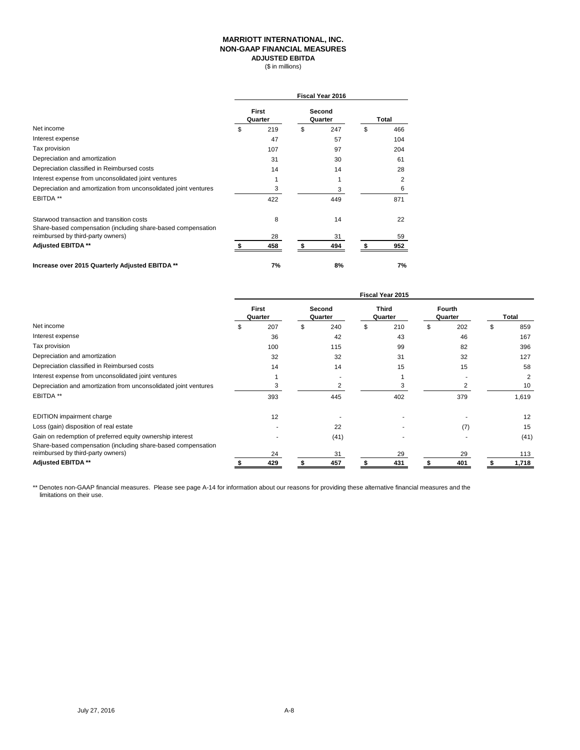#### **MARRIOTT INTERNATIONAL, INC. NON-GAAP FINANCIAL MEASURES ADJUSTED EBITDA**

(\$ in millions)

|                                                                                                           | <b>Fiscal Year 2016</b> |                  |    |                   |    |       |
|-----------------------------------------------------------------------------------------------------------|-------------------------|------------------|----|-------------------|----|-------|
|                                                                                                           |                         | First<br>Quarter |    | Second<br>Quarter |    | Total |
| Net income                                                                                                | \$                      | 219              | \$ | 247               | \$ | 466   |
| Interest expense                                                                                          |                         | 47               |    | 57                |    | 104   |
| Tax provision                                                                                             |                         | 107              |    | 97                |    | 204   |
| Depreciation and amortization                                                                             |                         | 31               |    | 30                |    | 61    |
| Depreciation classified in Reimbursed costs                                                               |                         | 14               |    | 14                |    | 28    |
| Interest expense from unconsolidated joint ventures                                                       |                         |                  |    |                   |    | 2     |
| Depreciation and amortization from unconsolidated joint ventures                                          |                         | 3                |    | 3                 |    | 6     |
| EBITDA <sup>**</sup>                                                                                      |                         | 422              |    | 449               |    | 871   |
| Starwood transaction and transition costs<br>Share-based compensation (including share-based compensation |                         | 8                |    | 14                |    | 22    |
| reimbursed by third-party owners)                                                                         |                         | 28               |    | 31                |    | 59    |
| Adjusted EBITDA **                                                                                        |                         | 458              | £. | 494               |    | 952   |
| Increase over 2015 Quarterly Adjusted EBITDA **                                                           |                         | 7%               |    | 8%                |    | 7%    |

|                                                                                                   | Fiscal Year 2015 |                         |   |                   |    |                  |  |                   |           |
|---------------------------------------------------------------------------------------------------|------------------|-------------------------|---|-------------------|----|------------------|--|-------------------|-----------|
|                                                                                                   |                  | <b>First</b><br>Quarter |   | Second<br>Quarter |    | Third<br>Quarter |  | Fourth<br>Quarter | Total     |
| Net income                                                                                        |                  | 207                     | S | 240               | \$ | 210              |  | 202               | \$<br>859 |
| Interest expense                                                                                  |                  | 36                      |   | 42                |    | 43               |  | 46                | 167       |
| Tax provision                                                                                     |                  | 100                     |   | 115               |    | 99               |  | 82                | 396       |
| Depreciation and amortization                                                                     |                  | 32                      |   | 32                |    | 31               |  | 32                | 127       |
| Depreciation classified in Reimbursed costs                                                       |                  | 14                      |   | 14                |    | 15               |  | 15                | 58        |
| Interest expense from unconsolidated joint ventures                                               |                  |                         |   |                   |    |                  |  |                   | 2         |
| Depreciation and amortization from unconsolidated joint ventures                                  |                  | 3                       |   | 2                 |    | 3                |  | 2                 | 10        |
| EBITDA **                                                                                         |                  | 393                     |   | 445               |    | 402              |  | 379               | 1,619     |
| EDITION impairment charge                                                                         |                  | 12                      |   |                   |    |                  |  |                   | 12        |
| Loss (gain) disposition of real estate                                                            |                  |                         |   | 22                |    |                  |  | (7)               | 15        |
| Gain on redemption of preferred equity ownership interest                                         |                  |                         |   | (41)              |    |                  |  |                   | (41)      |
| Share-based compensation (including share-based compensation<br>reimbursed by third-party owners) |                  | 24                      |   | 31                |    | 29               |  | 29                | 113       |
| Adjusted EBITDA **                                                                                |                  | 429                     |   | 457               |    | 431              |  | 401               | 1,718     |

\*\* Denotes non-GAAP financial measures. Please see page A-14 for information about our reasons for providing these alternative financial measures and the limitations on their use.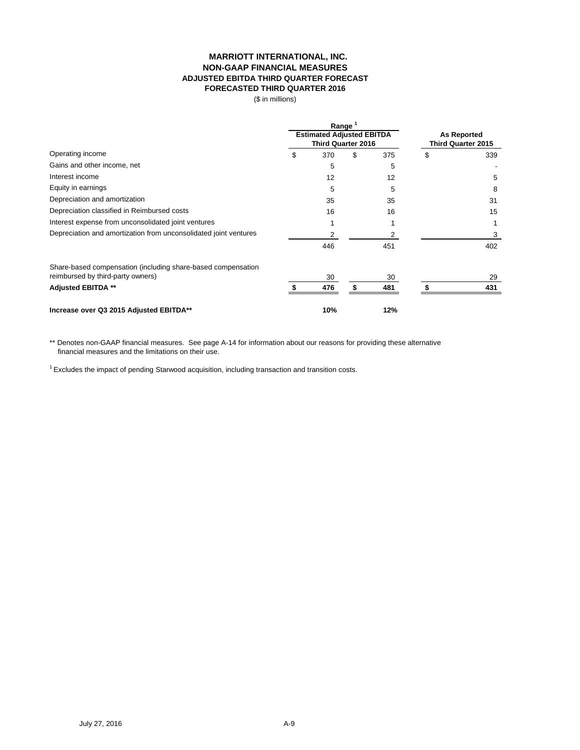## **MARRIOTT INTERNATIONAL, INC. NON-GAAP FINANCIAL MEASURES ADJUSTED EBITDA THIRD QUARTER FORECAST FORECASTED THIRD QUARTER 2016**

(\$ in millions)

|                                                                  |   | Range<br><b>Estimated Adjusted EBITDA</b> | <b>As Reported</b> |                    |    |     |
|------------------------------------------------------------------|---|-------------------------------------------|--------------------|--------------------|----|-----|
|                                                                  |   | <b>Third Quarter 2016</b>                 |                    | Third Quarter 2015 |    |     |
| Operating income                                                 | S | 370                                       | \$                 | 375                | \$ | 339 |
| Gains and other income, net                                      |   | 5                                         |                    | 5                  |    |     |
| Interest income                                                  |   | 12                                        |                    | 12                 |    | 5   |
| Equity in earnings                                               |   | 5                                         |                    | 5                  |    | 8   |
| Depreciation and amortization                                    |   | 35                                        |                    | 35                 |    | 31  |
| Depreciation classified in Reimbursed costs                      |   | 16                                        |                    | 16                 |    | 15  |
| Interest expense from unconsolidated joint ventures              |   |                                           |                    |                    |    |     |
| Depreciation and amortization from unconsolidated joint ventures |   |                                           |                    | 2                  |    | 3   |
|                                                                  |   | 446                                       |                    | 451                |    | 402 |
| Share-based compensation (including share-based compensation     |   |                                           |                    |                    |    |     |
| reimbursed by third-party owners)                                |   | 30                                        |                    | 30                 |    | 29  |
| <b>Adjusted EBITDA **</b>                                        |   | 476                                       | S                  | 481                |    | 431 |
| Increase over Q3 2015 Adjusted EBITDA**                          |   | 10%                                       |                    | 12%                |    |     |

\*\* Denotes non-GAAP financial measures. See page A-14 for information about our reasons for providing these alternative financial measures and the limitations on their use.

<sup>1</sup> Excludes the impact of pending Starwood acquisition, including transaction and transition costs.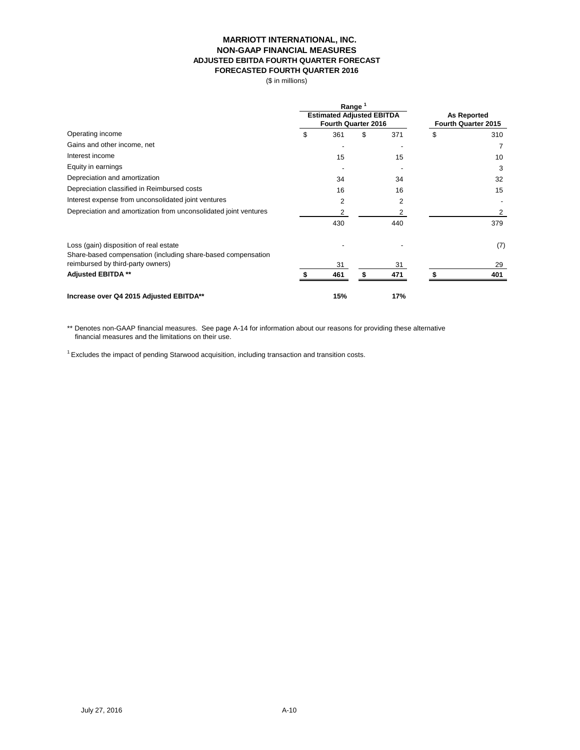#### **MARRIOTT INTERNATIONAL, INC. NON-GAAP FINANCIAL MEASURES ADJUSTED EBITDA FOURTH QUARTER FORECAST FORECASTED FOURTH QUARTER 2016**

(\$ in millions)

|                                                                  | Range                            |                                           |     |    |     |
|------------------------------------------------------------------|----------------------------------|-------------------------------------------|-----|----|-----|
|                                                                  | <b>Estimated Adjusted EBITDA</b> | <b>As Reported</b><br>Fourth Quarter 2015 |     |    |     |
|                                                                  | <b>Fourth Quarter 2016</b>       |                                           |     |    |     |
| Operating income                                                 | \$<br>361                        | \$                                        | 371 | \$ | 310 |
| Gains and other income, net                                      |                                  |                                           |     |    |     |
| Interest income                                                  | 15                               |                                           | 15  |    | 10  |
| Equity in earnings                                               |                                  |                                           |     |    | 3   |
| Depreciation and amortization                                    | 34                               |                                           | 34  |    | 32  |
| Depreciation classified in Reimbursed costs                      | 16                               |                                           | 16  |    | 15  |
| Interest expense from unconsolidated joint ventures              | 2                                |                                           | 2   |    |     |
| Depreciation and amortization from unconsolidated joint ventures | 2                                |                                           | 2   |    | 2   |
|                                                                  | 430                              |                                           | 440 |    | 379 |
| Loss (gain) disposition of real estate                           |                                  |                                           |     |    | (7) |
| Share-based compensation (including share-based compensation     |                                  |                                           |     |    |     |
| reimbursed by third-party owners)                                | 31                               |                                           | 31  |    | 29  |
| <b>Adjusted EBITDA **</b>                                        | 461                              | \$.                                       | 471 |    | 401 |
| Increase over Q4 2015 Adjusted EBITDA**                          | 15%                              |                                           | 17% |    |     |

\*\* Denotes non-GAAP financial measures. See page A-14 for information about our reasons for providing these alternative financial measures and the limitations on their use.

<sup>1</sup> Excludes the impact of pending Starwood acquisition, including transaction and transition costs.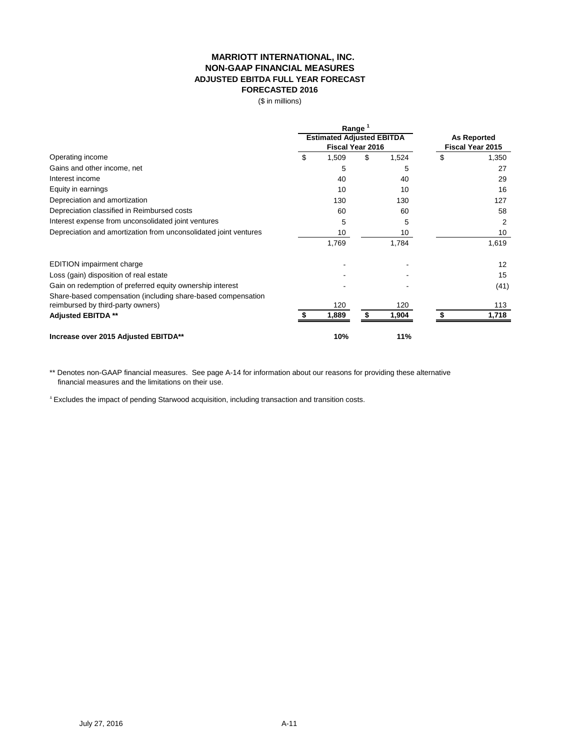# **MARRIOTT INTERNATIONAL, INC. NON-GAAP FINANCIAL MEASURES ADJUSTED EBITDA FULL YEAR FORECAST FORECASTED 2016**

(\$ in millions)

|                                                                  |                  | Range                            |                    |       |                         |       |
|------------------------------------------------------------------|------------------|----------------------------------|--------------------|-------|-------------------------|-------|
|                                                                  |                  | <b>Estimated Adjusted EBITDA</b> | <b>As Reported</b> |       |                         |       |
|                                                                  | Fiscal Year 2016 |                                  |                    |       | <b>Fiscal Year 2015</b> |       |
| Operating income                                                 | \$               | 1,509                            | \$                 | 1,524 | \$                      | 1,350 |
| Gains and other income, net                                      |                  | 5                                |                    | 5     |                         | 27    |
| Interest income                                                  |                  | 40                               |                    | 40    |                         | 29    |
| Equity in earnings                                               |                  | 10                               |                    | 10    |                         | 16    |
| Depreciation and amortization                                    |                  | 130                              |                    | 130   |                         | 127   |
| Depreciation classified in Reimbursed costs                      |                  | 60                               |                    | 60    |                         | 58    |
| Interest expense from unconsolidated joint ventures              |                  | 5                                |                    | 5     |                         | 2     |
| Depreciation and amortization from unconsolidated joint ventures |                  | 10                               |                    | 10    |                         | 10    |
|                                                                  |                  | 1,769                            |                    | 1,784 |                         | 1,619 |
| <b>EDITION</b> impairment charge                                 |                  |                                  |                    |       |                         | 12    |
| Loss (gain) disposition of real estate                           |                  |                                  |                    |       |                         | 15    |
| Gain on redemption of preferred equity ownership interest        |                  |                                  |                    |       |                         | (41)  |
| Share-based compensation (including share-based compensation     |                  |                                  |                    |       |                         |       |
| reimbursed by third-party owners)                                |                  | 120                              |                    | 120   |                         | 113   |
| <b>Adjusted EBITDA **</b>                                        |                  | 1,889                            | S                  | 1,904 |                         | 1,718 |
| Increase over 2015 Adjusted EBITDA**                             |                  | 10%                              |                    | 11%   |                         |       |

\*\* Denotes non-GAAP financial measures. See page A-14 for information about our reasons for providing these alternative financial measures and the limitations on their use.

<sup>1</sup> Excludes the impact of pending Starwood acquisition, including transaction and transition costs.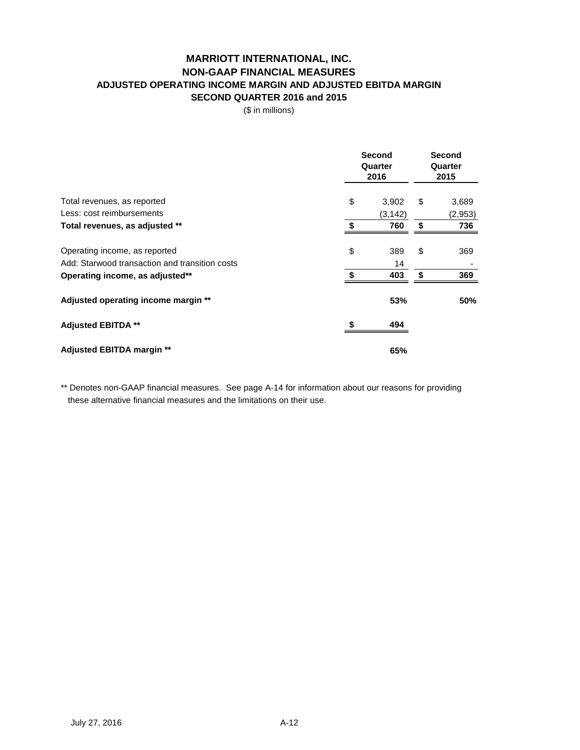# **MARRIOTT INTERNATIONAL, INC. NON-GAAP FINANCIAL MEASURES ADJUSTED OPERATING INCOME MARGIN AND ADJUSTED EBITDA MARGIN SECOND QUARTER 2016 and 2015**

(\$ in millions)

|                                                | <b>Second</b><br>Quarter<br>2016 |    |         |
|------------------------------------------------|----------------------------------|----|---------|
| Total revenues, as reported                    | \$<br>3,902                      | \$ | 3,689   |
| Less: cost reimbursements                      | (3, 142)                         |    | (2,953) |
| Total revenues, as adjusted **                 | \$<br>760                        | \$ | 736     |
| Operating income, as reported                  | \$<br>389                        | \$ | 369     |
| Add: Starwood transaction and transition costs | 14                               |    |         |
| Operating income, as adjusted**                | 403                              | \$ | 369     |
| Adjusted operating income margin **            | 53%                              |    | 50%     |
| <b>Adjusted EBITDA **</b>                      | 494                              |    |         |
| Adjusted EBITDA margin **                      | 65%                              |    |         |

\*\* Denotes non-GAAP financial measures. See page A-14 for information about our reasons for providing these alternative financial measures and the limitations on their use.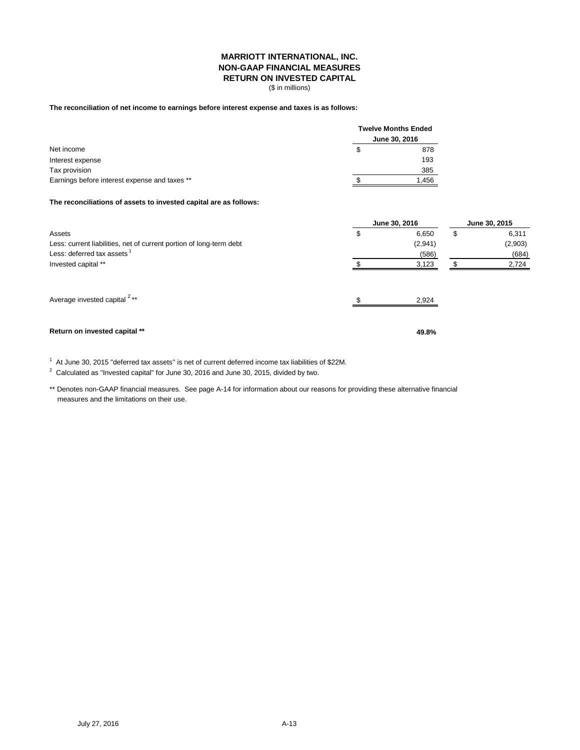#### **MARRIOTT INTERNATIONAL, INC. NON-GAAP FINANCIAL MEASURES RETURN ON INVESTED CAPITAL**

(\$ in millions)

#### **The reconciliation of net income to earnings before interest expense and taxes is as follows:**

|                                               | <b>Twelve Months Ended</b> |
|-----------------------------------------------|----------------------------|
|                                               | June 30, 2016              |
| Net income                                    | 878                        |
| Interest expense                              | 193                        |
| Tax provision                                 | 385                        |
| Earnings before interest expense and taxes ** | 1,456                      |

#### **The reconciliations of assets to invested capital are as follows:**

|                                                                     | June 30, 2016 | June 30, 2015 |    |         |
|---------------------------------------------------------------------|---------------|---------------|----|---------|
| Assets                                                              | \$            | 6,650         | \$ | 6,311   |
| Less: current liabilities, net of current portion of long-term debt |               | (2,941)       |    | (2,903) |
| Less: deferred tax assets <sup>1</sup>                              |               | (586)         |    | (684)   |
| Invested capital **                                                 |               | 3,123         |    | 2,724   |
| Average invested capital <sup>2**</sup>                             |               | 2,924         |    |         |
| Return on invested capital **                                       |               | 49.8%         |    |         |

 $1$  At June 30, 2015 "deferred tax assets" is net of current deferred income tax liabilities of \$22M.

 $2$  Calculated as "Invested capital" for June 30, 2016 and June 30, 2015, divided by two.

\*\* Denotes non-GAAP financial measures. See page A-14 for information about our reasons for providing these alternative financial measures and the limitations on their use.